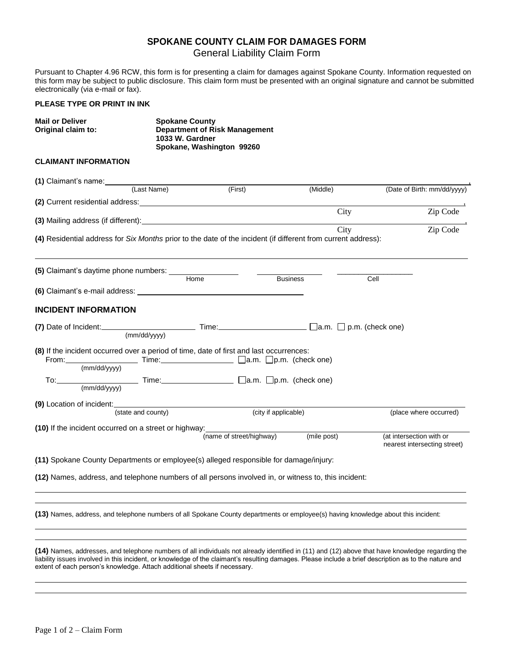## **SPOKANE COUNTY CLAIM FOR DAMAGES FORM**

General Liability Claim Form

Pursuant to Chapter 4.96 RCW, this form is for presenting a claim for damages against Spokane County. Information requested on this form may be subject to public disclosure. This claim form must be presented with an original signature and cannot be submitted electronically (via e-mail or fax).

## **PLEASE TYPE OR PRINT IN INK**

| <b>Mail or Deliver</b><br>Original claim to:                                                                                                                                                                                   | <b>Spokane County</b><br><b>Department of Risk Management</b><br>1033 W. Gardner<br>Spokane, Washington 99260 |                          |                      |      |                                                          |  |
|--------------------------------------------------------------------------------------------------------------------------------------------------------------------------------------------------------------------------------|---------------------------------------------------------------------------------------------------------------|--------------------------|----------------------|------|----------------------------------------------------------|--|
| <b>CLAIMANT INFORMATION</b>                                                                                                                                                                                                    |                                                                                                               |                          |                      |      |                                                          |  |
| (1) Claimant's name: (Last Name)                                                                                                                                                                                               |                                                                                                               | (First)                  | (Middle)             |      |                                                          |  |
|                                                                                                                                                                                                                                |                                                                                                               |                          |                      |      | (Date of Birth: mm/dd/yyyy)                              |  |
|                                                                                                                                                                                                                                |                                                                                                               |                          | City                 |      | Zip Code                                                 |  |
| (3) Mailing address (if different): example and an array and all the set of the set of the set of the set of the set of the set of the set of the set of the set of the set of the set of the set of the set of the set of the |                                                                                                               |                          | City                 |      | Zip Code                                                 |  |
| (4) Residential address for Six Months prior to the date of the incident (if different from current address):                                                                                                                  |                                                                                                               |                          |                      |      |                                                          |  |
|                                                                                                                                                                                                                                | Home                                                                                                          |                          | <b>Business</b>      | Cell |                                                          |  |
|                                                                                                                                                                                                                                |                                                                                                               |                          |                      |      |                                                          |  |
| <b>INCIDENT INFORMATION</b>                                                                                                                                                                                                    |                                                                                                               |                          |                      |      |                                                          |  |
| (7) Date of Incident: $\Box$ (mm/dd/yyyy) Time: $\Box$ $\Box$ a.m. $\Box$ p.m. (check one)                                                                                                                                     |                                                                                                               |                          |                      |      |                                                          |  |
|                                                                                                                                                                                                                                |                                                                                                               |                          |                      |      |                                                          |  |
| (8) If the incident occurred over a period of time, date of first and last occurrences:<br>From: Time: Time: 2016. The Cla.m. Dp.m. (check one)<br>(mm/dd/yyyy)                                                                |                                                                                                               |                          |                      |      |                                                          |  |
| To: $\frac{1}{(mm/dd/yyyy)}$ Time: $\frac{1}{(mm/dd/yyyy)}$                                                                                                                                                                    |                                                                                                               |                          |                      |      |                                                          |  |
| (9) Location of incident:<br>(state and county)                                                                                                                                                                                |                                                                                                               |                          | (city if applicable) |      |                                                          |  |
| (10) If the incident occurred on a street or highway:                                                                                                                                                                          |                                                                                                               | (name of street/highway) | (mile post)          |      | (at intersection with or<br>nearest intersecting street) |  |
| (11) Spokane County Departments or employee(s) alleged responsible for damage/injury:                                                                                                                                          |                                                                                                               |                          |                      |      |                                                          |  |
| (12) Names, address, and telephone numbers of all persons involved in, or witness to, this incident:                                                                                                                           |                                                                                                               |                          |                      |      |                                                          |  |
|                                                                                                                                                                                                                                |                                                                                                               |                          |                      |      |                                                          |  |

**(14)** Names, addresses, and telephone numbers of all individuals not already identified in (11) and (12) above that have knowledge regarding the liability issues involved in this incident, or knowledge of the claimant's resulting damages. Please include a brief description as to the nature and extent of each person's knowledge. Attach additional sheets if necessary.

<u>. Andre and the second control of the second control of the second control of the second control of the second</u> <u>. Andre and the second control of the second control of the second control of the second control of the second</u>

<u>. Andre and the second control of the second control of the second control of the second control of the second</u> <u>. Andre and the second control of the second control of the second control of the second control of the second</u>

**(13)** Names, address, and telephone numbers of all Spokane County departments or employee(s) having knowledge about this incident: